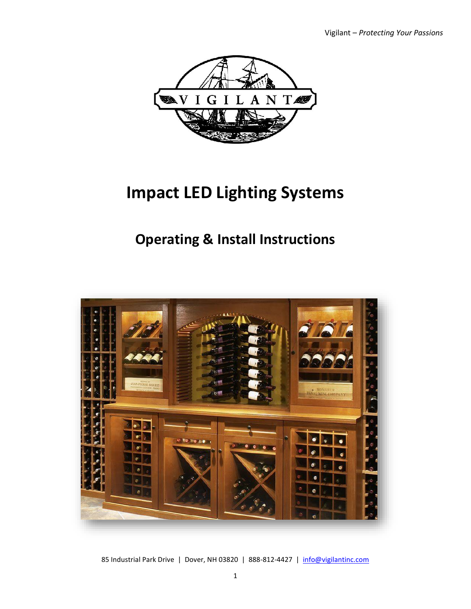

# **Impact LED Lighting Systems**

## **Operating & Install Instructions**

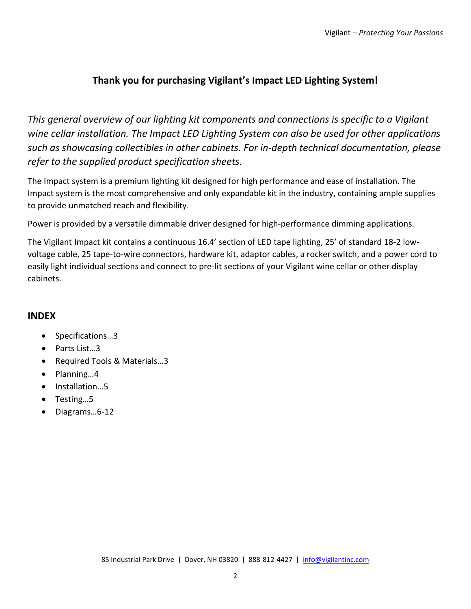## **Thank you for purchasing Vigilant's Impact LED Lighting System!**

*This general overview of our lighting kit components and connections is specific to a Vigilant wine cellar installation. The Impact LED Lighting System can also be used for other applications such as showcasing collectibles in other cabinets. For in-depth technical documentation, please refer to the supplied product specification sheets.* 

The Impact system is a premium lighting kit designed for high performance and ease of installation. The Impact system is the most comprehensive and only expandable kit in the industry, containing ample supplies to provide unmatched reach and flexibility.

Power is provided by a versatile dimmable driver designed for high-performance dimming applications.

The Vigilant Impact kit contains a continuous 16.4' section of LED tape lighting, 25' of standard 18-2 lowvoltage cable, 25 tape-to-wire connectors, hardware kit, adaptor cables, a rocker switch, and a power cord to easily light individual sections and connect to pre-lit sections of your Vigilant wine cellar or other display cabinets.

## **INDEX**

- Specifications...3
- Parts List…3
- Required Tools & Materials…3
- Planning…4
- Installation...5
- Testing...5
- Diagrams…6-12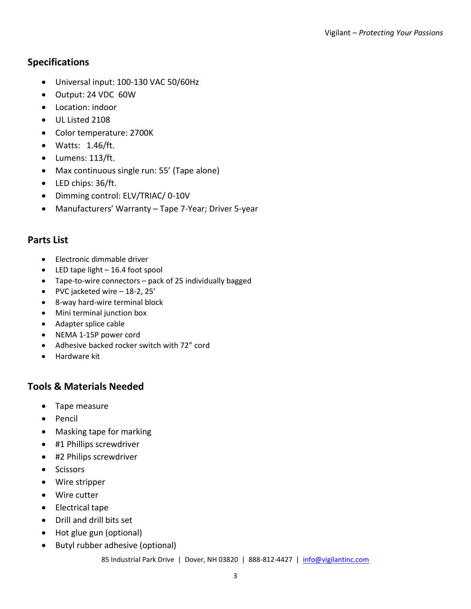## **Specifications**

- Universal input: 100-130 VAC 50/60Hz
- Output: 24 VDC 60W
- Location: indoor
- UL Listed 2108
- Color temperature: 2700K
- Watts: 1.46/ft.
- Lumens: 113/ft.
- Max continuous single run: 55' (Tape alone)
- LED chips: 36/ft.
- Dimming control: ELV/TRIAC/ 0-10V
- Manufacturers' Warranty Tape 7-Year; Driver 5-year

## **Parts List**

- Electronic dimmable driver
- LED tape light 16.4 foot spool
- Tape-to-wire connectors pack of 25 individually bagged
- PVC jacketed wire 18-2, 25'
- 8-way hard-wire terminal block
- Mini terminal junction box
- Adapter splice cable
- NEMA 1-15P power cord
- Adhesive backed rocker switch with 72" cord
- Hardware kit

## **Tools & Materials Needed**

- Tape measure
- Pencil
- Masking tape for marking
- #1 Phillips screwdriver
- #2 Philips screwdriver
- Scissors
- Wire stripper
- Wire cutter
- Electrical tape
- Drill and drill bits set
- Hot glue gun (optional)
- Butyl rubber adhesive (optional)

85 Industrial Park Drive | Dover, NH 03820 | 888-812-4427 | [info@vigilantinc.com](mailto:info@vigilantinc.com)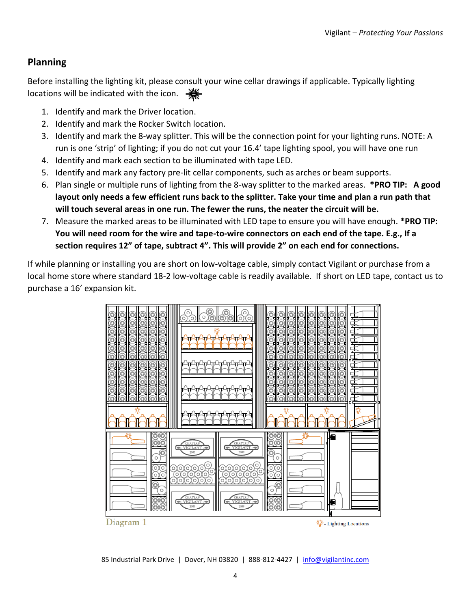## **Planning**

Before installing the lighting kit, please consult your wine cellar drawings if applicable. Typically lighting locations will be indicated with the icon.  $\frac{1}{100}$ 

- 1. Identify and mark the Driver location.
- 2. Identify and mark the Rocker Switch location.
- 3. Identify and mark the 8-way splitter. This will be the connection point for your lighting runs. NOTE: A run is one 'strip' of lighting; if you do not cut your 16.4' tape lighting spool, you will have one run
- 4. Identify and mark each section to be illuminated with tape LED.
- 5. Identify and mark any factory pre-lit cellar components, such as arches or beam supports.
- 6. Plan single or multiple runs of lighting from the 8-way splitter to the marked areas. **\*PRO TIP: A good layout only needs a few efficient runs back to the splitter. Take your time and plan a run path that will touch several areas in one run. The fewer the runs, the neater the circuit will be.**
- 7. Measure the marked areas to be illuminated with LED tape to ensure you will have enough. **\*PRO TIP: You will need room for the wire and tape-to-wire connectors on each end of the tape. E.g., If a section requires 12" of tape, subtract 4". This will provide 2" on each end for connections.**

If while planning or installing you are short on low-voltage cable, simply contact Vigilant or purchase from a local home store where standard 18-2 low-voltage cable is readily available. If short on LED tape, contact us to purchase a 16' expansion kit.

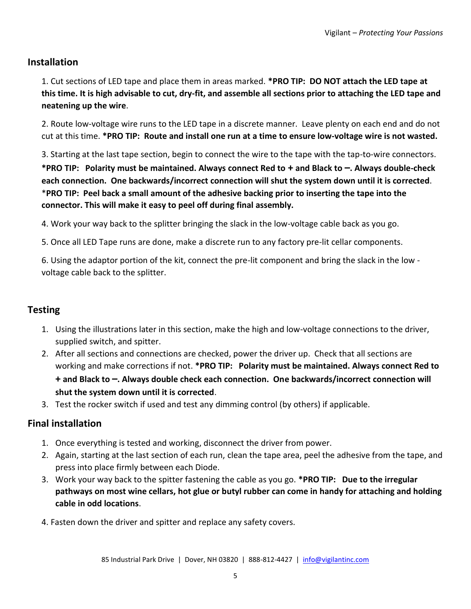## **Installation**

1. Cut sections of LED tape and place them in areas marked. **\*PRO TIP: DO NOT attach the LED tape at this time. It is high advisable to cut, dry-fit, and assemble all sections prior to attaching the LED tape and neatening up the wire**.

2. Route low-voltage wire runs to the LED tape in a discrete manner. Leave plenty on each end and do not cut at this time. **\*PRO TIP: Route and install one run at a time to ensure low-voltage wire is not wasted.**

3. Starting at the last tape section, begin to connect the wire to the tape with the tap-to-wire connectors. **\*PRO TIP: Polarity must be maintained. Always connect Red to + and Black to –. Always double-check each connection. One backwards/incorrect connection will shut the system down until it is corrected**. \***PRO TIP: Peel back a small amount of the adhesive backing prior to inserting the tape into the connector. This will make it easy to peel off during final assembly.** 

4. Work your way back to the splitter bringing the slack in the low-voltage cable back as you go.

5. Once all LED Tape runs are done, make a discrete run to any factory pre-lit cellar components.

6. Using the adaptor portion of the kit, connect the pre-lit component and bring the slack in the low voltage cable back to the splitter.

## **Testing**

- 1. Using the illustrations later in this section, make the high and low-voltage connections to the driver, supplied switch, and spitter.
- 2. After all sections and connections are checked, power the driver up. Check that all sections are working and make corrections if not. **\*PRO TIP: Polarity must be maintained. Always connect Red to + and Black to –. Always double check each connection. One backwards/incorrect connection will shut the system down until it is corrected**.
- 3. Test the rocker switch if used and test any dimming control (by others) if applicable.

## **Final installation**

- 1. Once everything is tested and working, disconnect the driver from power.
- 2. Again, starting at the last section of each run, clean the tape area, peel the adhesive from the tape, and press into place firmly between each Diode.
- 3. Work your way back to the spitter fastening the cable as you go. **\*PRO TIP: Due to the irregular pathways on most wine cellars, hot glue or butyl rubber can come in handy for attaching and holding cable in odd locations**.
- 4. Fasten down the driver and spitter and replace any safety covers.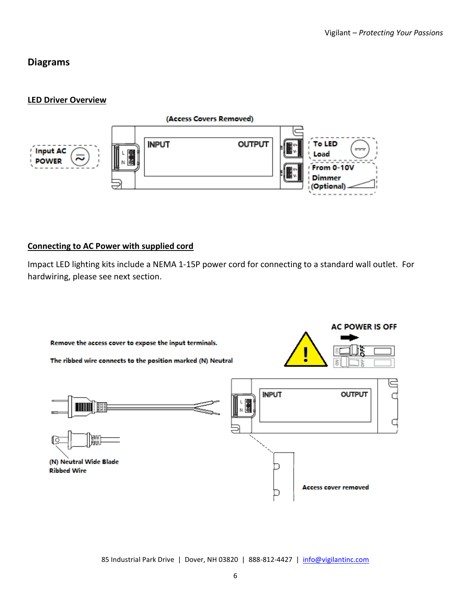## **Diagrams**

#### **LED Driver Overview**



#### **Connecting to AC Power with supplied cord**

Impact LED lighting kits include a NEMA 1-15P power cord for connecting to a standard wall outlet. For hardwiring, please see next section.

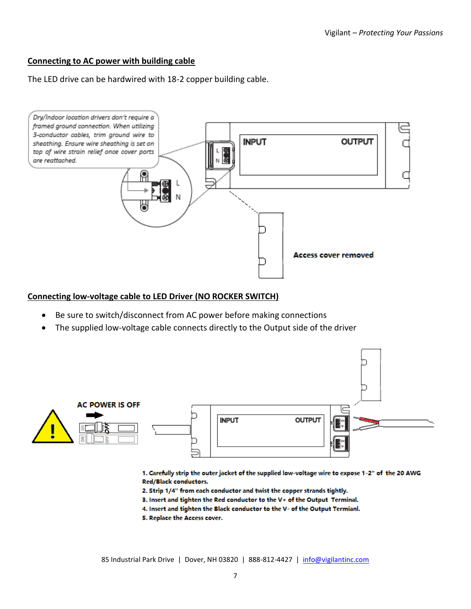#### **Connecting to AC power with building cable**

#### The LED drive can be hardwired with 18-2 copper building cable.



#### **Connecting low-voltage cable to LED Driver (NO ROCKER SWITCH)**

- Be sure to switch/disconnect from AC power before making connections
- The supplied low-voltage cable connects directly to the Output side of the driver



1. Carefully strip the outer jacket of the supplied low-voltage wire to expose 1-2" of the 20 AWG **Red/Black conductors.** 

- 2. Strip 1/4" from each conductor and twist the copper strands tightly.
- 8. Insert and tighten the Red conductor to the V+ of the Output Terminal.
- 4. Insert and tighten the Black conductor to the V- of the Output Termianl.
- 5. Replace the Access cover.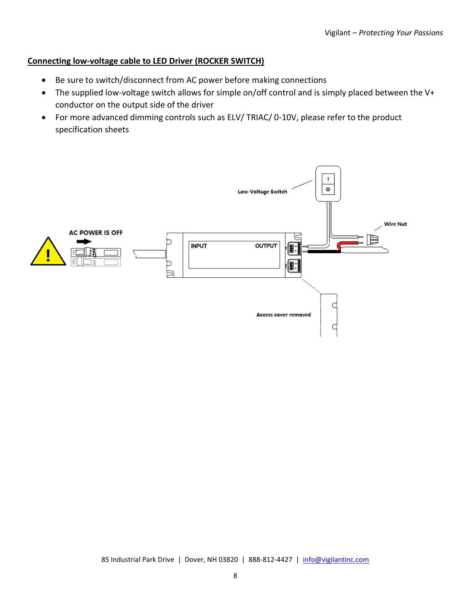#### **Connecting low-voltage cable to LED Driver (ROCKER SWITCH)**

- Be sure to switch/disconnect from AC power before making connections
- The supplied low-voltage switch allows for simple on/off control and is simply placed between the V+ conductor on the output side of the driver
- For more advanced dimming controls such as ELV/ TRIAC/ 0-10V, please refer to the product specification sheets

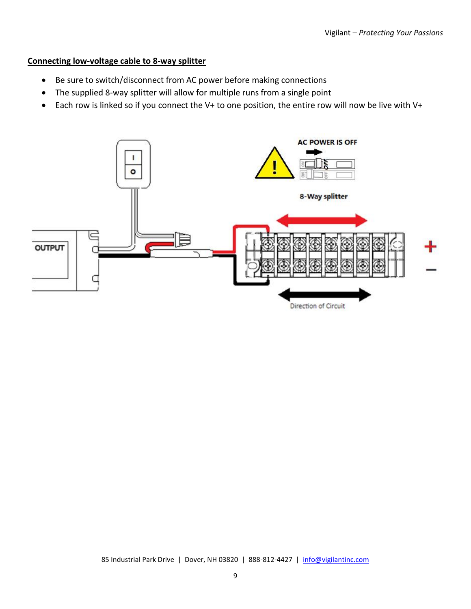#### **Connecting low-voltage cable to 8-way splitter**

- Be sure to switch/disconnect from AC power before making connections
- The supplied 8-way splitter will allow for multiple runs from a single point
- Each row is linked so if you connect the V+ to one position, the entire row will now be live with V+

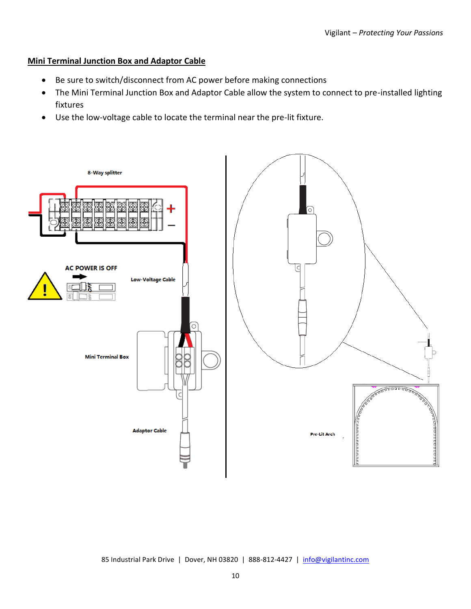#### **Mini Terminal Junction Box and Adaptor Cable**

- Be sure to switch/disconnect from AC power before making connections
- The Mini Terminal Junction Box and Adaptor Cable allow the system to connect to pre-installed lighting fixtures
- Use the low-voltage cable to locate the terminal near the pre-lit fixture.

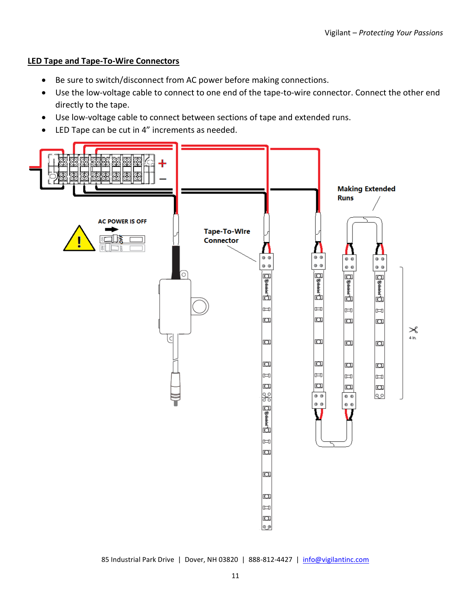#### **LED Tape and Tape-To-Wire Connectors**

- Be sure to switch/disconnect from AC power before making connections.
- Use the low-voltage cable to connect to one end of the tape-to-wire connector. Connect the other end directly to the tape.
- Use low-voltage cable to connect between sections of tape and extended runs.
- LED Tape can be cut in 4" increments as needed.